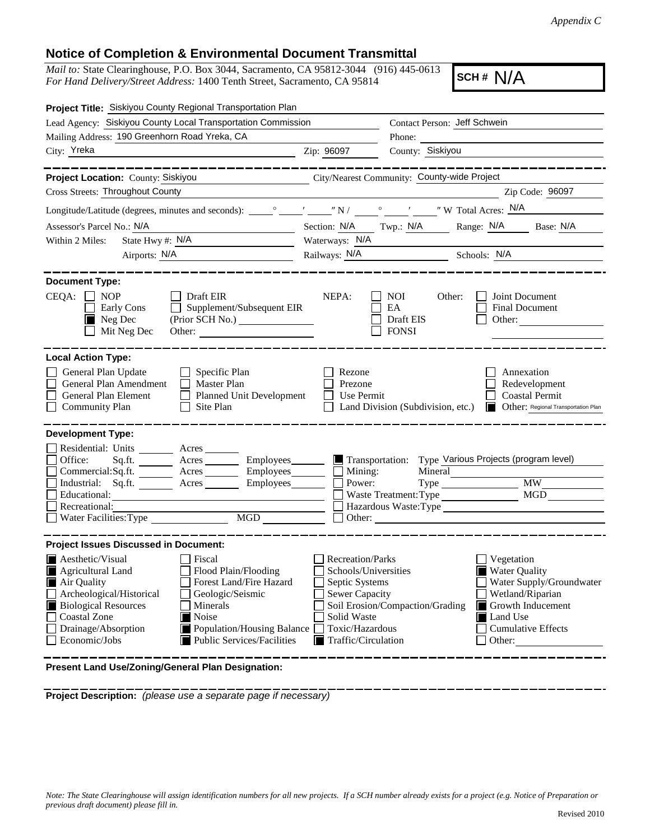*Appendix C*

## **Notice of Completion & Environmental Document Transmittal**

*Mail to:* State Clearinghouse, P.O. Box 3044, Sacramento, CA 95812-3044 (916) 445-0613 *For Hand Delivery/Street Address:* 1400 Tenth Street, Sacramento, CA 95814

**SCH# N/A** 

| <i>Mau to:</i> State Clearinghouse, P.O. Dox 5044, Sacramento, CA 95612-5044 (910) 445-0015<br>For Hand Delivery/Street Address: 1400 Tenth Street, Sacramento, CA 95814                                                                                                                                                                                                                                 |                                                                                                                                              | SCH # N/A                                                                                                                                                                              |  |
|----------------------------------------------------------------------------------------------------------------------------------------------------------------------------------------------------------------------------------------------------------------------------------------------------------------------------------------------------------------------------------------------------------|----------------------------------------------------------------------------------------------------------------------------------------------|----------------------------------------------------------------------------------------------------------------------------------------------------------------------------------------|--|
| Project Title: Siskiyou County Regional Transportation Plan                                                                                                                                                                                                                                                                                                                                              |                                                                                                                                              |                                                                                                                                                                                        |  |
| Lead Agency: Siskiyou County Local Transportation Commission                                                                                                                                                                                                                                                                                                                                             |                                                                                                                                              | Contact Person: Jeff Schwein                                                                                                                                                           |  |
| Mailing Address: 190 Greenhorn Road Yreka, CA                                                                                                                                                                                                                                                                                                                                                            |                                                                                                                                              | Phone:                                                                                                                                                                                 |  |
| City: Yreka                                                                                                                                                                                                                                                                                                                                                                                              | Zip: 96097                                                                                                                                   | County: Siskiyou                                                                                                                                                                       |  |
| -------------<br>Project Location: County: Siskiyou                                                                                                                                                                                                                                                                                                                                                      |                                                                                                                                              | _________<br>City/Nearest Community: County-wide Project                                                                                                                               |  |
| Cross Streets: Throughout County                                                                                                                                                                                                                                                                                                                                                                         |                                                                                                                                              | Zip Code: 96097                                                                                                                                                                        |  |
|                                                                                                                                                                                                                                                                                                                                                                                                          |                                                                                                                                              |                                                                                                                                                                                        |  |
| Assessor's Parcel No.: N/A                                                                                                                                                                                                                                                                                                                                                                               |                                                                                                                                              |                                                                                                                                                                                        |  |
| State Hwy #: N/A<br>Within 2 Miles:                                                                                                                                                                                                                                                                                                                                                                      | Section: N/A Twp.: N/A Range: N/A Base: N/A<br>Waterways: N/A                                                                                |                                                                                                                                                                                        |  |
| Airports: N/A                                                                                                                                                                                                                                                                                                                                                                                            | Railways: N/A<br>Schools: N/A                                                                                                                |                                                                                                                                                                                        |  |
|                                                                                                                                                                                                                                                                                                                                                                                                          |                                                                                                                                              |                                                                                                                                                                                        |  |
| <b>Document Type:</b><br>$CEQA: \Box$<br><b>NOP</b><br>$\blacksquare$ Draft EIR<br>Supplement/Subsequent EIR<br>Early Cons<br>$\mathbf{1}$<br>Neg Dec<br>(Prior SCH No.)<br>Mit Neg Dec<br>Other:                                                                                                                                                                                                        | NEPA:                                                                                                                                        | NOI<br>Other:<br>Joint Document<br>EA<br>Final Document<br>Draft EIS<br>Other:<br><b>FONSI</b>                                                                                         |  |
| <b>Local Action Type:</b><br>General Plan Update<br>$\Box$ Specific Plan<br>General Plan Amendment<br>$\Box$ Master Plan<br>General Plan Element<br>Planned Unit Development<br><b>Community Plan</b><br>$\Box$ Site Plan                                                                                                                                                                                | Rezone<br>Prezone<br>Use Permit                                                                                                              | Annexation<br>Redevelopment<br><b>Coastal Permit</b><br>Other: Regional Transportation Plan<br>Land Division (Subdivision, etc.)                                                       |  |
| <b>Development Type:</b><br>Residential: Units ________ Acres _______<br>Sq.ft. ________ Acres __________ Employees________<br>Office:<br>Commercial:Sq.ft. _________ Acres __________ Employees________<br>Industrial: Sq.ft. _______ Acres _______ Employees_______<br>Educational:<br>Recreational:<br>Water Facilities: Type<br>MGD                                                                  | $\blacksquare$ Transportation:<br>Mining:<br>Power:                                                                                          | Type Various Projects (program level)<br>Mineral<br><b>MW</b><br>Waste Treatment: Type<br>Hazardous Waste:Type<br>Other:                                                               |  |
| <b>Project Issues Discussed in Document:</b><br>$\blacksquare$ Aesthetic/Visual<br>Fiscal<br>Agricultural Land<br>Flood Plain/Flooding<br>Forest Land/Fire Hazard<br>Air Quality<br>Archeological/Historical<br>Geologic/Seismic<br><b>Biological Resources</b><br>Minerals<br>Coastal Zone<br>Noise<br>Drainage/Absorption<br>Population/Housing Balance<br>Economic/Jobs<br>Public Services/Facilities | Recreation/Parks<br>Schools/Universities<br>Septic Systems<br><b>Sewer Capacity</b><br>Solid Waste<br>Toxic/Hazardous<br>Traffic/Circulation | Vegetation<br>Water Quality<br>Water Supply/Groundwater<br>Wetland/Riparian<br>Soil Erosion/Compaction/Grading<br>Growth Inducement<br>Land Use<br><b>Cumulative Effects</b><br>Other: |  |

**Present Land Use/Zoning/General Plan Designation:**

**Project Description:** *(please use a separate page if necessary)*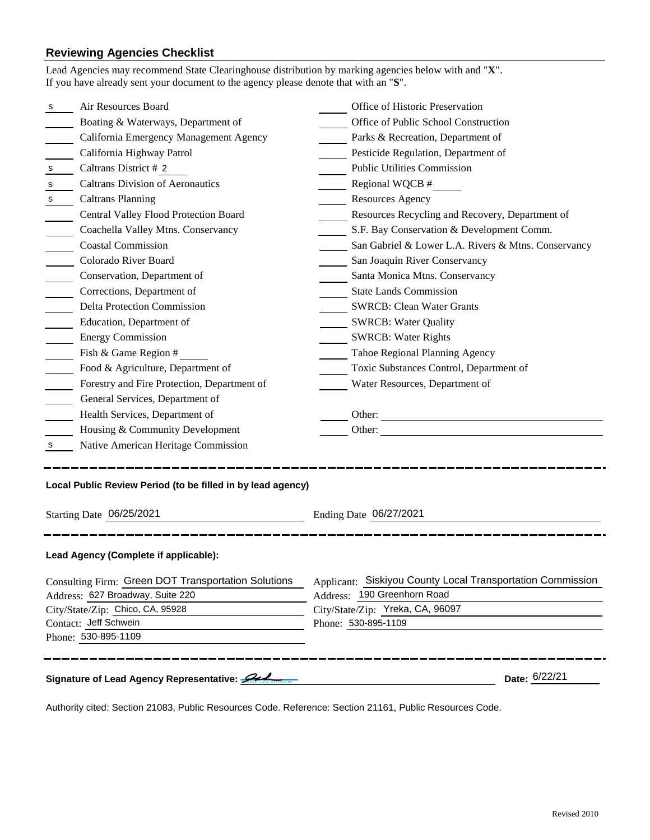## **Reviewing Agencies Checklist**

|                                  | Lead Agencies may recommend State Clearinghouse distribution by marking agencies below with and "X".<br>If you have already sent your document to the agency please denote that with an "S". |                                                            |  |
|----------------------------------|----------------------------------------------------------------------------------------------------------------------------------------------------------------------------------------------|------------------------------------------------------------|--|
| s                                | Air Resources Board                                                                                                                                                                          | Office of Historic Preservation                            |  |
|                                  | Boating & Waterways, Department of                                                                                                                                                           | Office of Public School Construction                       |  |
|                                  | California Emergency Management Agency                                                                                                                                                       | Parks & Recreation, Department of                          |  |
|                                  | California Highway Patrol                                                                                                                                                                    | Pesticide Regulation, Department of                        |  |
| s                                | Caltrans District # 2                                                                                                                                                                        | <b>Public Utilities Commission</b>                         |  |
| s                                | <b>Caltrans Division of Aeronautics</b>                                                                                                                                                      | Regional WQCB #                                            |  |
| s                                | <b>Caltrans Planning</b>                                                                                                                                                                     | <b>Resources Agency</b>                                    |  |
|                                  | Central Valley Flood Protection Board                                                                                                                                                        | Resources Recycling and Recovery, Department of            |  |
|                                  | Coachella Valley Mtns. Conservancy                                                                                                                                                           | S.F. Bay Conservation & Development Comm.                  |  |
|                                  | <b>Coastal Commission</b>                                                                                                                                                                    | San Gabriel & Lower L.A. Rivers & Mtns. Conservancy        |  |
|                                  | Colorado River Board                                                                                                                                                                         | San Joaquin River Conservancy                              |  |
|                                  | Conservation, Department of                                                                                                                                                                  | Santa Monica Mtns. Conservancy                             |  |
|                                  | Corrections, Department of                                                                                                                                                                   | <b>State Lands Commission</b>                              |  |
|                                  | <b>Delta Protection Commission</b>                                                                                                                                                           | <b>SWRCB: Clean Water Grants</b>                           |  |
|                                  | Education, Department of                                                                                                                                                                     | <b>SWRCB: Water Quality</b>                                |  |
|                                  | <b>Energy Commission</b>                                                                                                                                                                     | <b>SWRCB: Water Rights</b>                                 |  |
|                                  | Fish & Game Region #                                                                                                                                                                         | Tahoe Regional Planning Agency                             |  |
|                                  | Food & Agriculture, Department of                                                                                                                                                            | Toxic Substances Control, Department of                    |  |
|                                  | Forestry and Fire Protection, Department of                                                                                                                                                  | Water Resources, Department of                             |  |
|                                  | General Services, Department of                                                                                                                                                              |                                                            |  |
|                                  | Health Services, Department of                                                                                                                                                               | Other:                                                     |  |
|                                  | Housing & Community Development                                                                                                                                                              | Other:                                                     |  |
| S.                               | Native American Heritage Commission                                                                                                                                                          |                                                            |  |
|                                  | Local Public Review Period (to be filled in by lead agency)                                                                                                                                  |                                                            |  |
| Starting Date 06/25/2021         |                                                                                                                                                                                              | Ending Date 06/27/2021                                     |  |
|                                  | Lead Agency (Complete if applicable):                                                                                                                                                        |                                                            |  |
|                                  | Consulting Firm: Green DOT Transportation Solutions                                                                                                                                          | Applicant: Siskiyou County Local Transportation Commission |  |
| Address: 627 Broadway, Suite 220 |                                                                                                                                                                                              | Address: 190 Greenhorn Road                                |  |
| City/State/Zip: Chico, CA, 95928 |                                                                                                                                                                                              | City/State/Zip: Yreka, CA, 96097                           |  |
| Contact: Jeff Schwein            |                                                                                                                                                                                              | Phone: 530-895-1109                                        |  |
|                                  | Phone: 530-895-1109                                                                                                                                                                          |                                                            |  |
|                                  | Signature of Lead Agency Representative:                                                                                                                                                     | Date: 6/22/21                                              |  |

Authority cited: Section 21083, Public Resources Code. Reference: Section 21161, Public Resources Code.